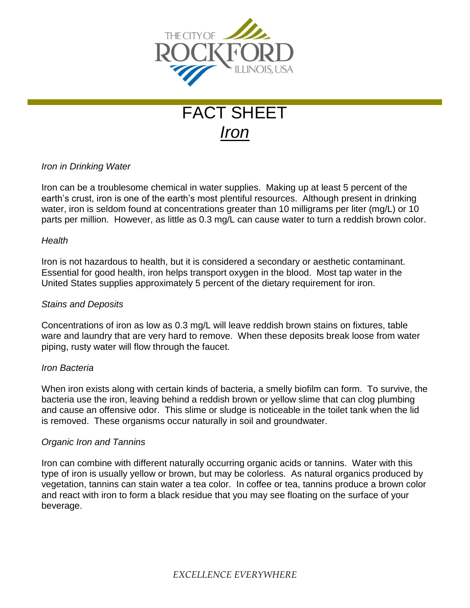

# FACT SHEET *Iron*

## *Iron in Drinking Water*

Iron can be a troublesome chemical in water supplies. Making up at least 5 percent of the earth's crust, iron is one of the earth's most plentiful resources. Although present in drinking water, iron is seldom found at concentrations greater than 10 milligrams per liter (mg/L) or 10 parts per million. However, as little as 0.3 mg/L can cause water to turn a reddish brown color.

#### *Health*

Iron is not hazardous to health, but it is considered a secondary or aesthetic contaminant. Essential for good health, iron helps transport oxygen in the blood. Most tap water in the United States supplies approximately 5 percent of the dietary requirement for iron.

#### *Stains and Deposits*

Concentrations of iron as low as 0.3 mg/L will leave reddish brown stains on fixtures, table ware and laundry that are very hard to remove. When these deposits break loose from water piping, rusty water will flow through the faucet.

#### *Iron Bacteria*

When iron exists along with certain kinds of bacteria, a smelly biofilm can form. To survive, the bacteria use the iron, leaving behind a reddish brown or yellow slime that can clog plumbing and cause an offensive odor. This slime or sludge is noticeable in the toilet tank when the lid is removed. These organisms occur naturally in soil and groundwater.

#### *Organic Iron and Tannins*

Iron can combine with different naturally occurring organic acids or tannins. Water with this type of iron is usually yellow or brown, but may be colorless. As natural organics produced by vegetation, tannins can stain water a tea color. In coffee or tea, tannins produce a brown color and react with iron to form a black residue that you may see floating on the surface of your beverage.